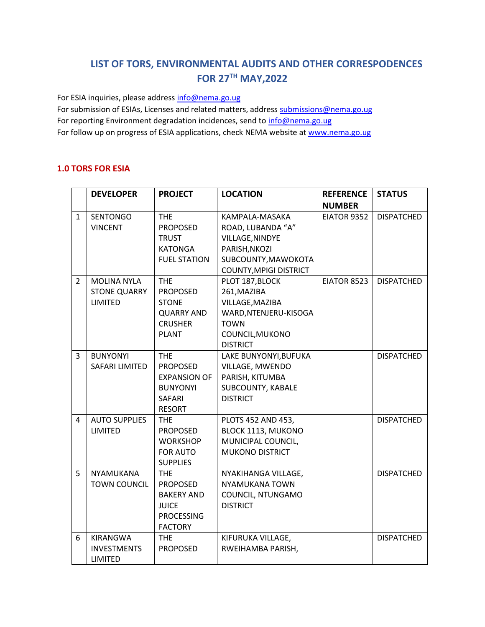# **LIST OF TORS, ENVIRONMENTAL AUDITS AND OTHER CORRESPODENCES FOR 27TH MAY,2022**

For ESIA inquiries, please addres[s info@nema.go.ug](mailto:info@nema.go.ug)

For submission of ESIAs, Licenses and related matters, address [submissions@nema.go.ug](mailto:submissions@nema.go.ug) For reporting Environment degradation incidences, send t[o info@nema.go.ug](mailto:info@nema.go.ug) For follow up on progress of ESIA applications, check NEMA website at [www.nema.go.ug](http://www.nema.go.ug/)

### **1.0 TORS FOR ESIA**

|                | <b>DEVELOPER</b>     | <b>PROJECT</b>      | <b>LOCATION</b>               | <b>REFERENCE</b> | <b>STATUS</b>     |
|----------------|----------------------|---------------------|-------------------------------|------------------|-------------------|
|                |                      |                     |                               | <b>NUMBER</b>    |                   |
| $\mathbf{1}$   | <b>SENTONGO</b>      | <b>THE</b>          | KAMPALA-MASAKA                | EIATOR 9352      | <b>DISPATCHED</b> |
|                | <b>VINCENT</b>       | <b>PROPOSED</b>     | ROAD, LUBANDA "A"             |                  |                   |
|                |                      | <b>TRUST</b>        | VILLAGE, NINDYE               |                  |                   |
|                |                      | <b>KATONGA</b>      | PARISH, NKOZI                 |                  |                   |
|                |                      | <b>FUEL STATION</b> | SUBCOUNTY, MAWOKOTA           |                  |                   |
|                |                      |                     | <b>COUNTY, MPIGI DISTRICT</b> |                  |                   |
| $\overline{2}$ | <b>MOLINA NYLA</b>   | <b>THE</b>          | PLOT 187, BLOCK               | EIATOR 8523      | <b>DISPATCHED</b> |
|                | <b>STONE QUARRY</b>  | <b>PROPOSED</b>     | 261, MAZIBA                   |                  |                   |
|                | LIMITED              | <b>STONE</b>        | VILLAGE, MAZIBA               |                  |                   |
|                |                      | <b>QUARRY AND</b>   | WARD, NTENJERU-KISOGA         |                  |                   |
|                |                      | <b>CRUSHER</b>      | <b>TOWN</b>                   |                  |                   |
|                |                      | <b>PLANT</b>        | COUNCIL, MUKONO               |                  |                   |
|                |                      |                     | <b>DISTRICT</b>               |                  |                   |
| 3              | <b>BUNYONYI</b>      | <b>THE</b>          | LAKE BUNYONYI, BUFUKA         |                  | <b>DISPATCHED</b> |
|                | SAFARI LIMITED       | <b>PROPOSED</b>     | VILLAGE, MWENDO               |                  |                   |
|                |                      | <b>EXPANSION OF</b> | PARISH, KITUMBA               |                  |                   |
|                |                      | <b>BUNYONYI</b>     | SUBCOUNTY, KABALE             |                  |                   |
|                |                      | SAFARI              | <b>DISTRICT</b>               |                  |                   |
|                |                      | <b>RESORT</b>       |                               |                  |                   |
| $\overline{4}$ | <b>AUTO SUPPLIES</b> | <b>THE</b>          | PLOTS 452 AND 453,            |                  | <b>DISPATCHED</b> |
|                | LIMITED              | <b>PROPOSED</b>     | BLOCK 1113, MUKONO            |                  |                   |
|                |                      | <b>WORKSHOP</b>     | MUNICIPAL COUNCIL,            |                  |                   |
|                |                      | <b>FOR AUTO</b>     | <b>MUKONO DISTRICT</b>        |                  |                   |
|                |                      | <b>SUPPLIES</b>     |                               |                  |                   |
| 5              | <b>NYAMUKANA</b>     | <b>THE</b>          | NYAKIHANGA VILLAGE,           |                  | <b>DISPATCHED</b> |
|                | <b>TOWN COUNCIL</b>  | <b>PROPOSED</b>     | <b>NYAMUKANA TOWN</b>         |                  |                   |
|                |                      | <b>BAKERY AND</b>   | COUNCIL, NTUNGAMO             |                  |                   |
|                |                      | <b>JUICE</b>        | <b>DISTRICT</b>               |                  |                   |
|                |                      | <b>PROCESSING</b>   |                               |                  |                   |
|                |                      | <b>FACTORY</b>      |                               |                  |                   |
| 6              | KIRANGWA             | <b>THE</b>          | KIFURUKA VILLAGE,             |                  | <b>DISPATCHED</b> |
|                | <b>INVESTMENTS</b>   | <b>PROPOSED</b>     | RWEIHAMBA PARISH,             |                  |                   |
|                | LIMITED              |                     |                               |                  |                   |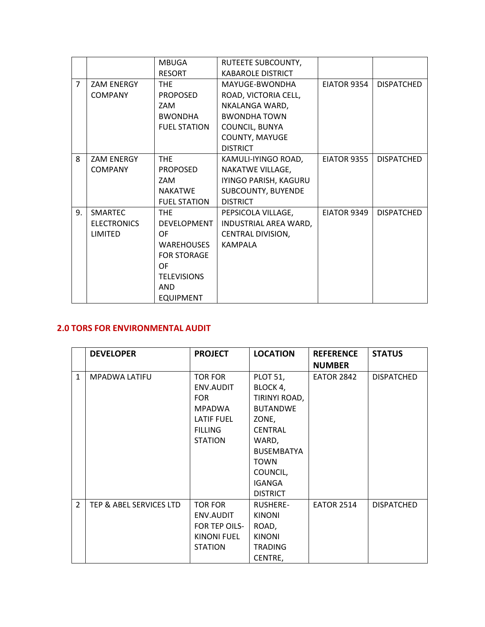|                |                    | <b>MBUGA</b>        | RUTEETE SUBCOUNTY,       |             |                   |
|----------------|--------------------|---------------------|--------------------------|-------------|-------------------|
|                |                    | <b>RESORT</b>       | <b>KABAROLE DISTRICT</b> |             |                   |
| $\overline{7}$ | <b>ZAM ENERGY</b>  | <b>THE</b>          | MAYUGE-BWONDHA           | EIATOR 9354 | <b>DISPATCHED</b> |
|                | <b>COMPANY</b>     | <b>PROPOSED</b>     | ROAD, VICTORIA CELL,     |             |                   |
|                |                    | ZAM                 | NKALANGA WARD,           |             |                   |
|                |                    | <b>BWONDHA</b>      | <b>BWONDHA TOWN</b>      |             |                   |
|                |                    | <b>FUEL STATION</b> | <b>COUNCIL, BUNYA</b>    |             |                   |
|                |                    |                     | COUNTY, MAYUGE           |             |                   |
|                |                    |                     | <b>DISTRICT</b>          |             |                   |
| 8              | <b>ZAM ENERGY</b>  | <b>THE</b>          | KAMULI-IYINGO ROAD,      | EIATOR 9355 | <b>DISPATCHED</b> |
|                | <b>COMPANY</b>     | <b>PROPOSED</b>     | NAKATWE VILLAGE,         |             |                   |
|                |                    | ZAM                 | IYINGO PARISH, KAGURU    |             |                   |
|                |                    | <b>NAKATWE</b>      | SUBCOUNTY, BUYENDE       |             |                   |
|                |                    | <b>FUEL STATION</b> | <b>DISTRICT</b>          |             |                   |
| 9.             | SMARTEC            | <b>THE</b>          | PEPSICOLA VILLAGE,       | EIATOR 9349 | <b>DISPATCHED</b> |
|                | <b>ELECTRONICS</b> | DEVELOPMENT         | INDUSTRIAL AREA WARD,    |             |                   |
|                | LIMITED            | 0F                  | CENTRAL DIVISION,        |             |                   |
|                |                    | <b>WAREHOUSES</b>   | <b>KAMPALA</b>           |             |                   |
|                |                    | <b>FOR STORAGE</b>  |                          |             |                   |
|                |                    | <b>OF</b>           |                          |             |                   |
|                |                    | <b>TELEVISIONS</b>  |                          |             |                   |
|                |                    | <b>AND</b>          |                          |             |                   |
|                |                    | <b>EQUIPMENT</b>    |                          |             |                   |

## **2.0 TORS FOR ENVIRONMENTAL AUDIT**

|               | <b>DEVELOPER</b>        | <b>PROJECT</b>     | <b>LOCATION</b>   | <b>REFERENCE</b>  | <b>STATUS</b>     |
|---------------|-------------------------|--------------------|-------------------|-------------------|-------------------|
|               |                         |                    |                   | <b>NUMBER</b>     |                   |
| $\mathbf{1}$  | <b>MPADWA LATIFU</b>    | <b>TOR FOR</b>     | <b>PLOT 51,</b>   | <b>EATOR 2842</b> | <b>DISPATCHED</b> |
|               |                         | ENV.AUDIT          | BLOCK 4,          |                   |                   |
|               |                         | <b>FOR</b>         | TIRINYI ROAD,     |                   |                   |
|               |                         | <b>MPADWA</b>      | <b>BUTANDWE</b>   |                   |                   |
|               |                         | <b>LATIF FUEL</b>  | ZONE,             |                   |                   |
|               |                         | <b>FILLING</b>     | <b>CENTRAL</b>    |                   |                   |
|               |                         | <b>STATION</b>     | WARD,             |                   |                   |
|               |                         |                    | <b>BUSEMBATYA</b> |                   |                   |
|               |                         |                    | <b>TOWN</b>       |                   |                   |
|               |                         |                    | COUNCIL,          |                   |                   |
|               |                         |                    | <b>IGANGA</b>     |                   |                   |
|               |                         |                    | <b>DISTRICT</b>   |                   |                   |
| $\mathcal{P}$ | TEP & ABEL SERVICES LTD | <b>TOR FOR</b>     | <b>RUSHERE-</b>   | <b>EATOR 2514</b> | <b>DISPATCHED</b> |
|               |                         | ENV.AUDIT          | <b>KINONI</b>     |                   |                   |
|               |                         | FOR TEP OILS-      | ROAD,             |                   |                   |
|               |                         | <b>KINONI FUEL</b> | <b>KINONI</b>     |                   |                   |
|               |                         | <b>STATION</b>     | <b>TRADING</b>    |                   |                   |
|               |                         |                    | CENTRE,           |                   |                   |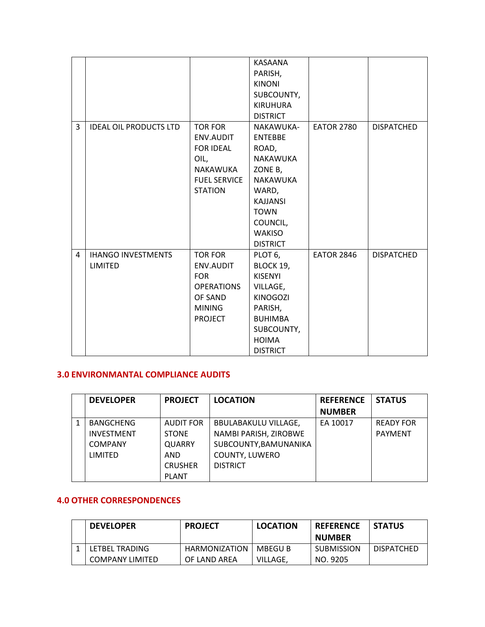|   |                                             |                                                                                                              | KASAANA<br>PARISH,<br><b>KINONI</b><br>SUBCOUNTY,<br><b>KIRUHURA</b><br><b>DISTRICT</b>                                                                                   |                   |                   |
|---|---------------------------------------------|--------------------------------------------------------------------------------------------------------------|---------------------------------------------------------------------------------------------------------------------------------------------------------------------------|-------------------|-------------------|
| 3 | <b>IDEAL OIL PRODUCTS LTD</b>               | <b>TOR FOR</b><br>ENV.AUDIT<br><b>FOR IDEAL</b><br>OIL,<br>NAKAWUKA<br><b>FUEL SERVICE</b><br><b>STATION</b> | NAKAWUKA-<br><b>ENTEBBE</b><br>ROAD,<br><b>NAKAWUKA</b><br>ZONE B,<br>NAKAWUKA<br>WARD,<br><b>KAJJANSI</b><br><b>TOWN</b><br>COUNCIL,<br><b>WAKISO</b><br><b>DISTRICT</b> | <b>EATOR 2780</b> | <b>DISPATCHED</b> |
| 4 | <b>IHANGO INVESTMENTS</b><br><b>LIMITED</b> | <b>TOR FOR</b><br>ENV.AUDIT<br><b>FOR</b><br><b>OPERATIONS</b><br>OF SAND<br><b>MINING</b><br><b>PROJECT</b> | PLOT <sub>6</sub> ,<br>BLOCK 19,<br><b>KISENYI</b><br>VILLAGE,<br><b>KINOGOZI</b><br>PARISH,<br><b>BUHIMBA</b><br>SUBCOUNTY,<br><b>HOIMA</b><br><b>DISTRICT</b>           | <b>EATOR 2846</b> | <b>DISPATCHED</b> |

### **3.0 ENVIRONMANTAL COMPLIANCE AUDITS**

|   | <b>DEVELOPER</b>  | <b>PROJECT</b> | <b>LOCATION</b>             | <b>REFERENCE</b> | <b>STATUS</b>    |
|---|-------------------|----------------|-----------------------------|------------------|------------------|
|   |                   |                |                             | <b>NUMBER</b>    |                  |
| 1 | <b>BANGCHENG</b>  | AUDIT FOR      | <b>BBULABAKULU VILLAGE,</b> | EA 10017         | <b>READY FOR</b> |
|   | <b>INVESTMENT</b> | <b>STONE</b>   | NAMBI PARISH, ZIROBWE       |                  | <b>PAYMENT</b>   |
|   | <b>COMPANY</b>    | <b>QUARRY</b>  | SUBCOUNTY, BAMUNANIKA       |                  |                  |
|   | <b>LIMITED</b>    | AND            | COUNTY, LUWERO              |                  |                  |
|   |                   | <b>CRUSHER</b> | <b>DISTRICT</b>             |                  |                  |
|   |                   | <b>PLANT</b>   |                             |                  |                  |

## **4.0 OTHER CORRESPONDENCES**

| <b>DEVELOPER</b> | <b>PROJECT</b> | <b>LOCATION</b> | <b>REFERENCE</b>  | <b>STATUS</b> |
|------------------|----------------|-----------------|-------------------|---------------|
|                  |                |                 | <b>NUMBER</b>     |               |
| LETBEL TRADING   | HARMONIZATION  | MBEGU B         | <b>SUBMISSION</b> | DISPATCHED    |
| COMPANY LIMITED  | OF LAND AREA   | VILLAGE.        | NO. 9205          |               |